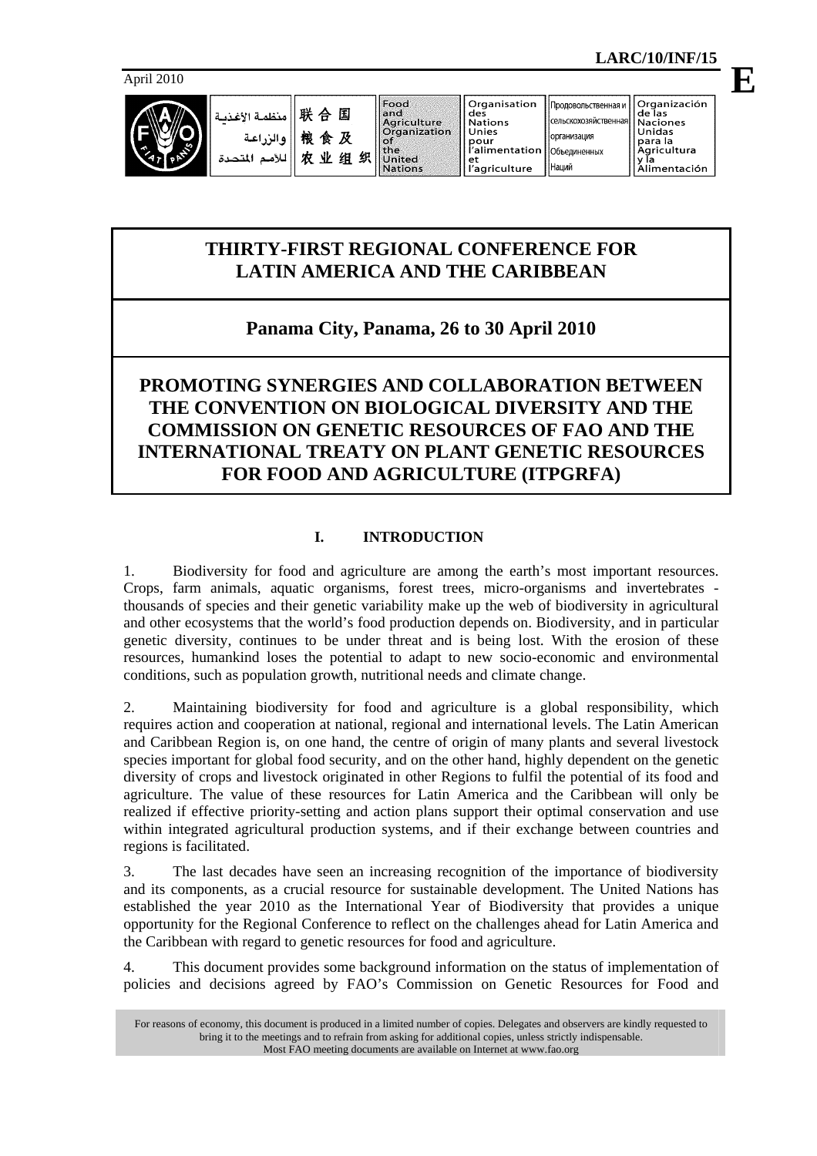April 2010



| 联合国  المنظمة الإغذية<br> 戦食及  والزراعة<br>   الأمم المتحدة |  |
|------------------------------------------------------------|--|
|                                                            |  |
|                                                            |  |

Food and Agriculture<br>Organization  $\sim f$ the<br>United 匕组织 **Nations** 

et

организация

Наций

Объединенных

## **THIRTY-FIRST REGIONAL CONFERENCE FOR LATIN AMERICA AND THE CARIBBEAN**

# **Panama City, Panama, 26 to 30 April 2010**

## **PROMOTING SYNERGIES AND COLLABORATION BETWEEN THE CONVENTION ON BIOLOGICAL DIVERSITY AND THE COMMISSION ON GENETIC RESOURCES OF FAO AND THE INTERNATIONAL TREATY ON PLANT GENETIC RESOURCES FOR FOOD AND AGRICULTURE (ITPGRFA)**

### **I. INTRODUCTION**

1. Biodiversity for food and agriculture are among the earth's most important resources. Crops, farm animals, aquatic organisms, forest trees, micro-organisms and invertebrates thousands of species and their genetic variability make up the web of biodiversity in agricultural and other ecosystems that the world's food production depends on. Biodiversity, and in particular genetic diversity, continues to be under threat and is being lost. With the erosion of these resources, humankind loses the potential to adapt to new socio-economic and environmental conditions, such as population growth, nutritional needs and climate change.

2. Maintaining biodiversity for food and agriculture is a global responsibility, which requires action and cooperation at national, regional and international levels. The Latin American and Caribbean Region is, on one hand, the centre of origin of many plants and several livestock species important for global food security, and on the other hand, highly dependent on the genetic diversity of crops and livestock originated in other Regions to fulfil the potential of its food and agriculture. The value of these resources for Latin America and the Caribbean will only be realized if effective priority-setting and action plans support their optimal conservation and use within integrated agricultural production systems, and if their exchange between countries and regions is facilitated.

3. The last decades have seen an increasing recognition of the importance of biodiversity and its components, as a crucial resource for sustainable development. The United Nations has established the year 2010 as the International Year of Biodiversity that provides a unique opportunity for the Regional Conference to reflect on the challenges ahead for Latin America and the Caribbean with regard to genetic resources for food and agriculture.

4. This document provides some background information on the status of implementation of policies and decisions agreed by FAO's Commission on Genetic Resources for Food and

For reasons of economy, this document is produced in a limited number of copies. Delegates and observers are kindly requested to bring it to the meetings and to refrain from asking for additional copies, unless strictly indispensable. Most FAO meeting documents are available on Internet at www.fao.org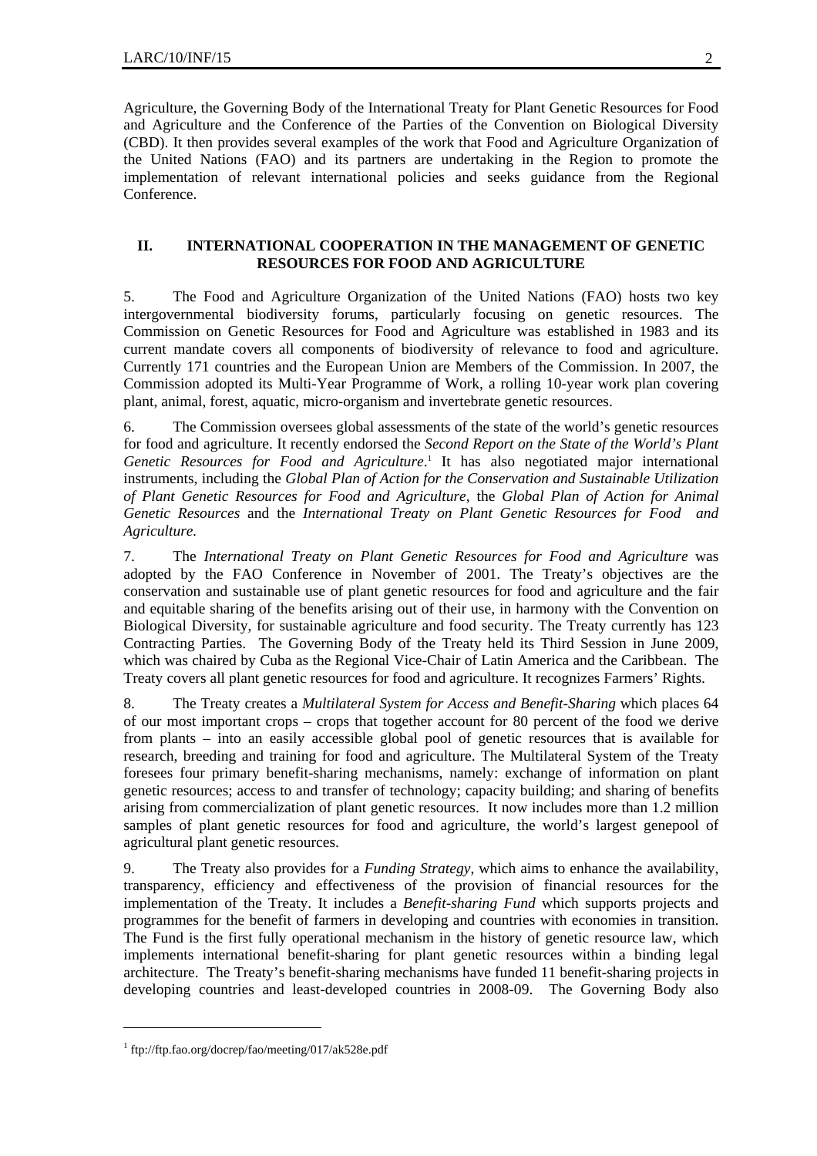Agriculture, the Governing Body of the International Treaty for Plant Genetic Resources for Food and Agriculture and the Conference of the Parties of the Convention on Biological Diversity (CBD). It then provides several examples of the work that Food and Agriculture Organization of the United Nations (FAO) and its partners are undertaking in the Region to promote the implementation of relevant international policies and seeks guidance from the Regional Conference.

#### **II. INTERNATIONAL COOPERATION IN THE MANAGEMENT OF GENETIC RESOURCES FOR FOOD AND AGRICULTURE**

5. The Food and Agriculture Organization of the United Nations (FAO) hosts two key intergovernmental biodiversity forums, particularly focusing on genetic resources. The Commission on Genetic Resources for Food and Agriculture was established in 1983 and its current mandate covers all components of biodiversity of relevance to food and agriculture. Currently 171 countries and the European Union are Members of the Commission. In 2007, the Commission adopted its Multi-Year Programme of Work, a rolling 10-year work plan covering plant, animal, forest, aquatic, micro-organism and invertebrate genetic resources.

6. The Commission oversees global assessments of the state of the world's genetic resources for food and agriculture. It recently endorsed the *Second Report on the State of the World's Plant*  Genetic Resources for Food and Agriculture.<sup>1</sup> It has also negotiated major international instruments, including the *Global Plan of Action for the Conservation and Sustainable Utilization of Plant Genetic Resources for Food and Agriculture,* the *Global Plan of Action for Animal Genetic Resources* and the *International Treaty on Plant Genetic Resources for Food and Agriculture.*

7. The *International Treaty on Plant Genetic Resources for Food and Agriculture* was adopted by the FAO Conference in November of 2001. The Treaty's objectives are the conservation and sustainable use of plant genetic resources for food and agriculture and the fair and equitable sharing of the benefits arising out of their use, in harmony with the Convention on Biological Diversity, for sustainable agriculture and food security. The Treaty currently has 123 Contracting Parties. The Governing Body of the Treaty held its Third Session in June 2009, which was chaired by Cuba as the Regional Vice-Chair of Latin America and the Caribbean. The Treaty covers all plant genetic resources for food and agriculture. It recognizes Farmers' Rights.

8. The Treaty creates a *Multilateral System for Access and Benefit-Sharing* which places 64 of our most important crops – crops that together account for 80 percent of the food we derive from plants – into an easily accessible global pool of genetic resources that is available for research, breeding and training for food and agriculture. The Multilateral System of the Treaty foresees four primary benefit-sharing mechanisms, namely: exchange of information on plant genetic resources; access to and transfer of technology; capacity building; and sharing of benefits arising from commercialization of plant genetic resources. It now includes more than 1.2 million samples of plant genetic resources for food and agriculture, the world's largest genepool of agricultural plant genetic resources.

9. The Treaty also provides for a *Funding Strategy*, which aims to enhance the availability, transparency, efficiency and effectiveness of the provision of financial resources for the implementation of the Treaty. It includes a *Benefit-sharing Fund* which supports projects and programmes for the benefit of farmers in developing and countries with economies in transition. The Fund is the first fully operational mechanism in the history of genetic resource law, which implements international benefit-sharing for plant genetic resources within a binding legal architecture. The Treaty's benefit-sharing mechanisms have funded 11 benefit-sharing projects in developing countries and least-developed countries in 2008-09. The Governing Body also

l

<sup>1</sup> ftp://ftp.fao.org/docrep/fao/meeting/017/ak528e.pdf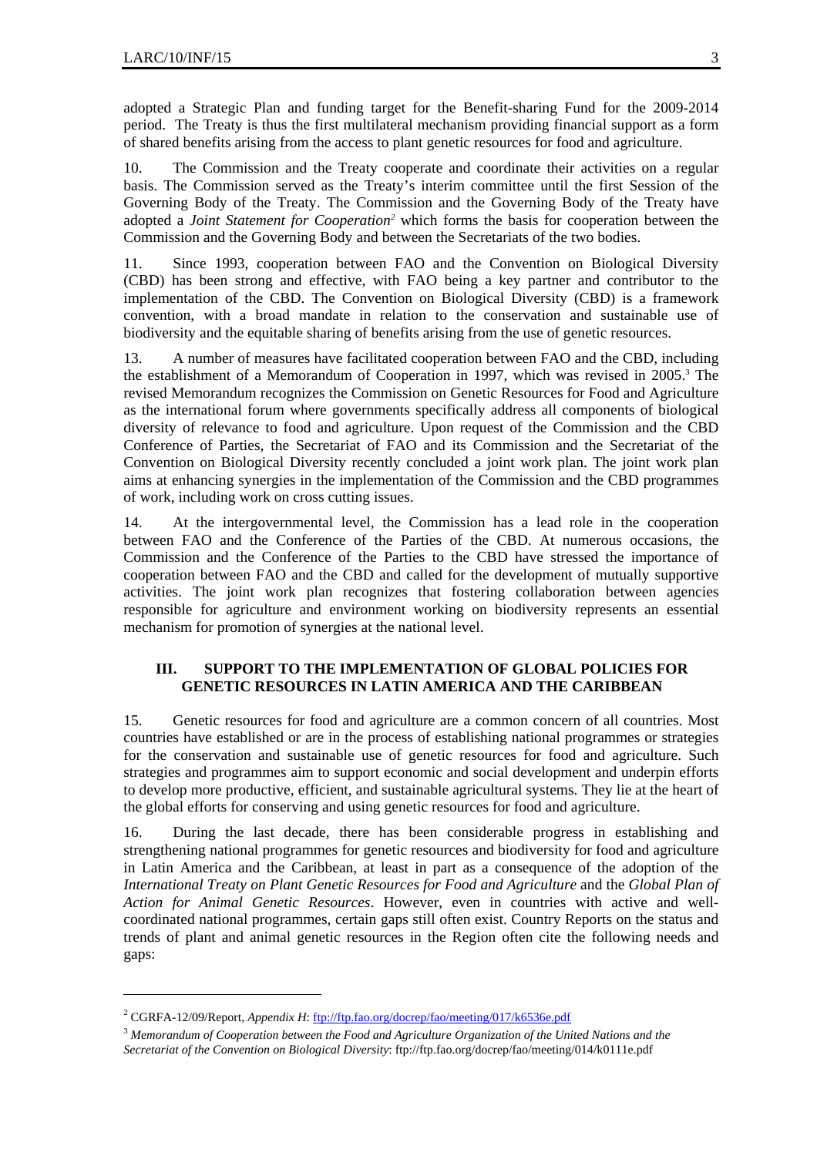adopted a Strategic Plan and funding target for the Benefit-sharing Fund for the 2009-2014 period. The Treaty is thus the first multilateral mechanism providing financial support as a form of shared benefits arising from the access to plant genetic resources for food and agriculture.

10. The Commission and the Treaty cooperate and coordinate their activities on a regular basis. The Commission served as the Treaty's interim committee until the first Session of the Governing Body of the Treaty. The Commission and the Governing Body of the Treaty have adopted a *Joint Statement for Cooperation*<sup>2</sup> which forms the basis for cooperation between the Commission and the Governing Body and between the Secretariats of the two bodies.

11. Since 1993, cooperation between FAO and the Convention on Biological Diversity (CBD) has been strong and effective, with FAO being a key partner and contributor to the implementation of the CBD. The Convention on Biological Diversity (CBD) is a framework convention, with a broad mandate in relation to the conservation and sustainable use of biodiversity and the equitable sharing of benefits arising from the use of genetic resources.

13. A number of measures have facilitated cooperation between FAO and the CBD, including the establishment of a Memorandum of Cooperation in 1997, which was revised in 2005.<sup>3</sup> The revised Memorandum recognizes the Commission on Genetic Resources for Food and Agriculture as the international forum where governments specifically address all components of biological diversity of relevance to food and agriculture. Upon request of the Commission and the CBD Conference of Parties, the Secretariat of FAO and its Commission and the Secretariat of the Convention on Biological Diversity recently concluded a joint work plan. The joint work plan aims at enhancing synergies in the implementation of the Commission and the CBD programmes of work, including work on cross cutting issues.

14. At the intergovernmental level, the Commission has a lead role in the cooperation between FAO and the Conference of the Parties of the CBD. At numerous occasions, the Commission and the Conference of the Parties to the CBD have stressed the importance of cooperation between FAO and the CBD and called for the development of mutually supportive activities. The joint work plan recognizes that fostering collaboration between agencies responsible for agriculture and environment working on biodiversity represents an essential mechanism for promotion of synergies at the national level.

### **III. SUPPORT TO THE IMPLEMENTATION OF GLOBAL POLICIES FOR GENETIC RESOURCES IN LATIN AMERICA AND THE CARIBBEAN**

15. Genetic resources for food and agriculture are a common concern of all countries. Most countries have established or are in the process of establishing national programmes or strategies for the conservation and sustainable use of genetic resources for food and agriculture. Such strategies and programmes aim to support economic and social development and underpin efforts to develop more productive, efficient, and sustainable agricultural systems. They lie at the heart of the global efforts for conserving and using genetic resources for food and agriculture.

16. During the last decade, there has been considerable progress in establishing and strengthening national programmes for genetic resources and biodiversity for food and agriculture in Latin America and the Caribbean, at least in part as a consequence of the adoption of the *International Treaty on Plant Genetic Resources for Food and Agriculture* and the *Global Plan of Action for Animal Genetic Resources*. However, even in countries with active and wellcoordinated national programmes, certain gaps still often exist. Country Reports on the status and trends of plant and animal genetic resources in the Region often cite the following needs and gaps:

l

<sup>&</sup>lt;sup>2</sup> CGRFA-12/09/Report, *Appendix H*: ftp://ftp.fao.org/docrep/fao/meeting/017/k6536e.pdf

<sup>3</sup> *Memorandum of Cooperation between the Food and Agriculture Organization of the United Nations and the Secretariat of the Convention on Biological Diversity*: ftp://ftp.fao.org/docrep/fao/meeting/014/k0111e.pdf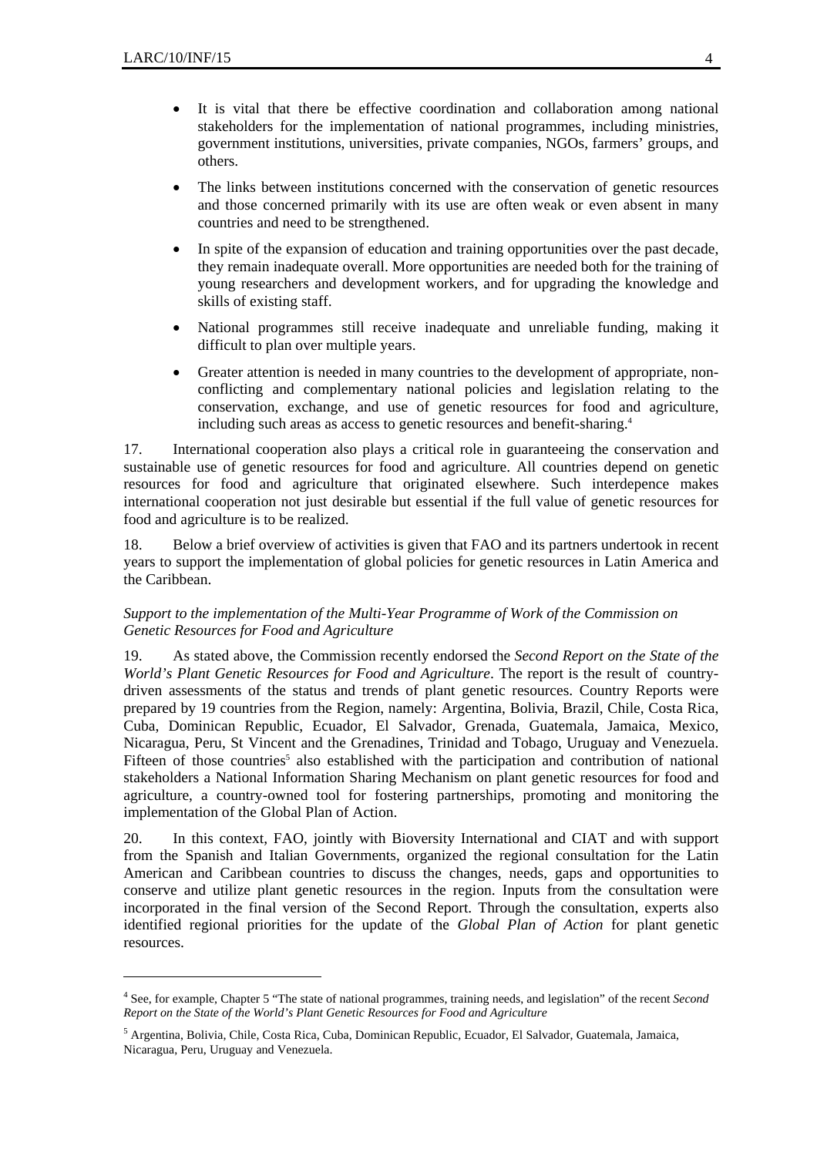l

- It is vital that there be effective coordination and collaboration among national stakeholders for the implementation of national programmes, including ministries, government institutions, universities, private companies, NGOs, farmers' groups, and others.
- The links between institutions concerned with the conservation of genetic resources and those concerned primarily with its use are often weak or even absent in many countries and need to be strengthened.
- In spite of the expansion of education and training opportunities over the past decade, they remain inadequate overall. More opportunities are needed both for the training of young researchers and development workers, and for upgrading the knowledge and skills of existing staff.
- National programmes still receive inadequate and unreliable funding, making it difficult to plan over multiple years.
- Greater attention is needed in many countries to the development of appropriate, nonconflicting and complementary national policies and legislation relating to the conservation, exchange, and use of genetic resources for food and agriculture, including such areas as access to genetic resources and benefit-sharing.4

17. International cooperation also plays a critical role in guaranteeing the conservation and sustainable use of genetic resources for food and agriculture. All countries depend on genetic resources for food and agriculture that originated elsewhere. Such interdepence makes international cooperation not just desirable but essential if the full value of genetic resources for food and agriculture is to be realized.

18. Below a brief overview of activities is given that FAO and its partners undertook in recent years to support the implementation of global policies for genetic resources in Latin America and the Caribbean.

#### *Support to the implementation of the Multi-Year Programme of Work of the Commission on Genetic Resources for Food and Agriculture*

19. As stated above, the Commission recently endorsed the *Second Report on the State of the World's Plant Genetic Resources for Food and Agriculture*. The report is the result of countrydriven assessments of the status and trends of plant genetic resources. Country Reports were prepared by 19 countries from the Region, namely: Argentina, Bolivia, Brazil, Chile, Costa Rica, Cuba, Dominican Republic, Ecuador, El Salvador, Grenada, Guatemala, Jamaica, Mexico, Nicaragua, Peru, St Vincent and the Grenadines, Trinidad and Tobago, Uruguay and Venezuela. Fifteen of those countries<sup>5</sup> also established with the participation and contribution of national stakeholders a National Information Sharing Mechanism on plant genetic resources for food and agriculture, a country-owned tool for fostering partnerships, promoting and monitoring the implementation of the Global Plan of Action.

20. In this context, FAO, jointly with Bioversity International and CIAT and with support from the Spanish and Italian Governments, organized the regional consultation for the Latin American and Caribbean countries to discuss the changes, needs, gaps and opportunities to conserve and utilize plant genetic resources in the region. Inputs from the consultation were incorporated in the final version of the Second Report. Through the consultation, experts also identified regional priorities for the update of the *Global Plan of Action* for plant genetic resources.

<sup>4</sup> See, for example, Chapter 5 "The state of national programmes, training needs, and legislation" of the recent *Second Report on the State of the World's Plant Genetic Resources for Food and Agriculture*

<sup>5</sup> Argentina, Bolivia, Chile, Costa Rica, Cuba, Dominican Republic, Ecuador, El Salvador, Guatemala, Jamaica, Nicaragua, Peru, Uruguay and Venezuela.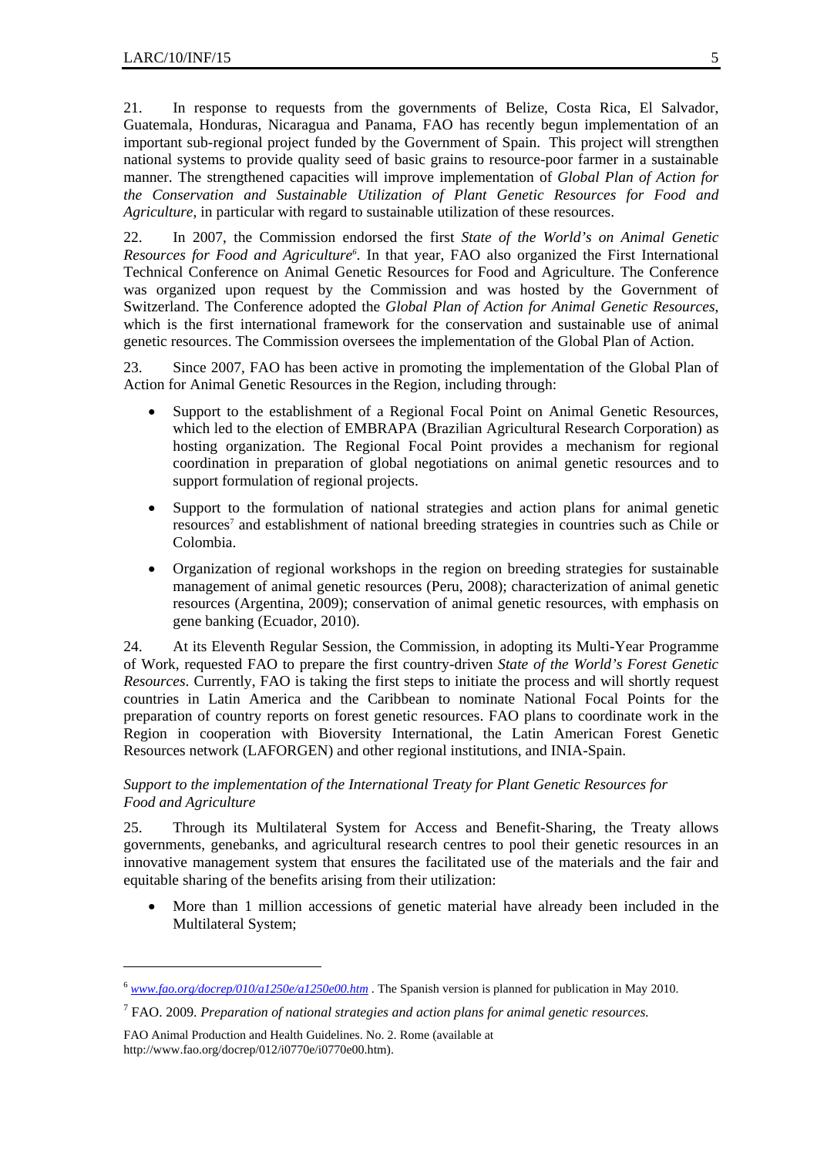21. In response to requests from the governments of Belize, Costa Rica, El Salvador, Guatemala, Honduras, Nicaragua and Panama, FAO has recently begun implementation of an important sub-regional project funded by the Government of Spain. This project will strengthen national systems to provide quality seed of basic grains to resource-poor farmer in a sustainable manner. The strengthened capacities will improve implementation of *Global Plan of Action for the Conservation and Sustainable Utilization of Plant Genetic Resources for Food and Agriculture*, in particular with regard to sustainable utilization of these resources.

22. In 2007, the Commission endorsed the first *State of the World's on Animal Genetic*  Resources for Food and Agriculture<sup>6</sup>. In that year, FAO also organized the First International Technical Conference on Animal Genetic Resources for Food and Agriculture. The Conference was organized upon request by the Commission and was hosted by the Government of Switzerland. The Conference adopted the *Global Plan of Action for Animal Genetic Resources*, which is the first international framework for the conservation and sustainable use of animal genetic resources. The Commission oversees the implementation of the Global Plan of Action.

23. Since 2007, FAO has been active in promoting the implementation of the Global Plan of Action for Animal Genetic Resources in the Region, including through:

- Support to the establishment of a Regional Focal Point on Animal Genetic Resources, which led to the election of EMBRAPA (Brazilian Agricultural Research Corporation) as hosting organization. The Regional Focal Point provides a mechanism for regional coordination in preparation of global negotiations on animal genetic resources and to support formulation of regional projects.
- Support to the formulation of national strategies and action plans for animal genetic resources<sup>7</sup> and establishment of national breeding strategies in countries such as Chile or Colombia.
- Organization of regional workshops in the region on breeding strategies for sustainable management of animal genetic resources (Peru, 2008); characterization of animal genetic resources (Argentina, 2009); conservation of animal genetic resources, with emphasis on gene banking (Ecuador, 2010).

24. At its Eleventh Regular Session, the Commission, in adopting its Multi-Year Programme of Work, requested FAO to prepare the first country-driven *State of the World's Forest Genetic Resources*. Currently, FAO is taking the first steps to initiate the process and will shortly request countries in Latin America and the Caribbean to nominate National Focal Points for the preparation of country reports on forest genetic resources. FAO plans to coordinate work in the Region in cooperation with Bioversity International, the Latin American Forest Genetic Resources network (LAFORGEN) and other regional institutions, and INIA-Spain.

### *Support to the implementation of the International Treaty for Plant Genetic Resources for Food and Agriculture*

25. Through its Multilateral System for Access and Benefit-Sharing, the Treaty allows governments, genebanks, and agricultural research centres to pool their genetic resources in an innovative management system that ensures the facilitated use of the materials and the fair and equitable sharing of the benefits arising from their utilization:

More than 1 million accessions of genetic material have already been included in the Multilateral System;

l

<sup>6</sup> *www.fao.org/docrep/010/a1250e/a1250e00.htm* . The Spanish version is planned for publication in May 2010.

<sup>7</sup> FAO. 2009. *Preparation of national strategies and action plans for animal genetic resources.* 

FAO Animal Production and Health Guidelines. No. 2. Rome (available at http://www.fao.org/docrep/012/i0770e/i0770e00.htm).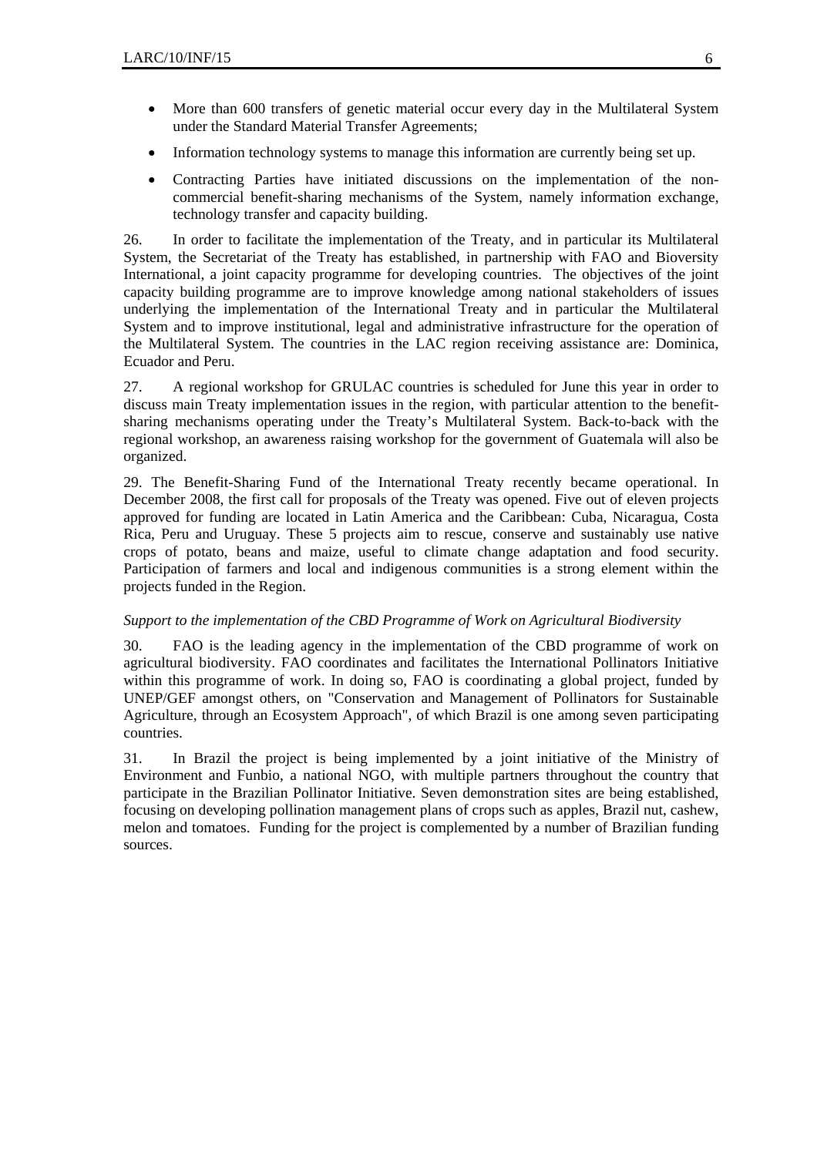- More than 600 transfers of genetic material occur every day in the Multilateral System under the Standard Material Transfer Agreements;
- Information technology systems to manage this information are currently being set up.
- Contracting Parties have initiated discussions on the implementation of the noncommercial benefit-sharing mechanisms of the System, namely information exchange, technology transfer and capacity building.

26. In order to facilitate the implementation of the Treaty, and in particular its Multilateral System, the Secretariat of the Treaty has established, in partnership with FAO and Bioversity International, a joint capacity programme for developing countries. The objectives of the joint capacity building programme are to improve knowledge among national stakeholders of issues underlying the implementation of the International Treaty and in particular the Multilateral System and to improve institutional, legal and administrative infrastructure for the operation of the Multilateral System. The countries in the LAC region receiving assistance are: Dominica, Ecuador and Peru.

27. A regional workshop for GRULAC countries is scheduled for June this year in order to discuss main Treaty implementation issues in the region, with particular attention to the benefitsharing mechanisms operating under the Treaty's Multilateral System. Back-to-back with the regional workshop, an awareness raising workshop for the government of Guatemala will also be organized.

29. The Benefit-Sharing Fund of the International Treaty recently became operational. In December 2008, the first call for proposals of the Treaty was opened. Five out of eleven projects approved for funding are located in Latin America and the Caribbean: Cuba, Nicaragua, Costa Rica, Peru and Uruguay. These 5 projects aim to rescue, conserve and sustainably use native crops of potato, beans and maize, useful to climate change adaptation and food security. Participation of farmers and local and indigenous communities is a strong element within the projects funded in the Region.

#### *Support to the implementation of the CBD Programme of Work on Agricultural Biodiversity*

30. FAO is the leading agency in the implementation of the CBD programme of work on agricultural biodiversity. FAO coordinates and facilitates the International Pollinators Initiative within this programme of work. In doing so, FAO is coordinating a global project, funded by UNEP/GEF amongst others, on "Conservation and Management of Pollinators for Sustainable Agriculture, through an Ecosystem Approach", of which Brazil is one among seven participating countries.

31. In Brazil the project is being implemented by a joint initiative of the Ministry of Environment and Funbio, a national NGO, with multiple partners throughout the country that participate in the Brazilian Pollinator Initiative. Seven demonstration sites are being established, focusing on developing pollination management plans of crops such as apples, Brazil nut, cashew, melon and tomatoes. Funding for the project is complemented by a number of Brazilian funding sources.